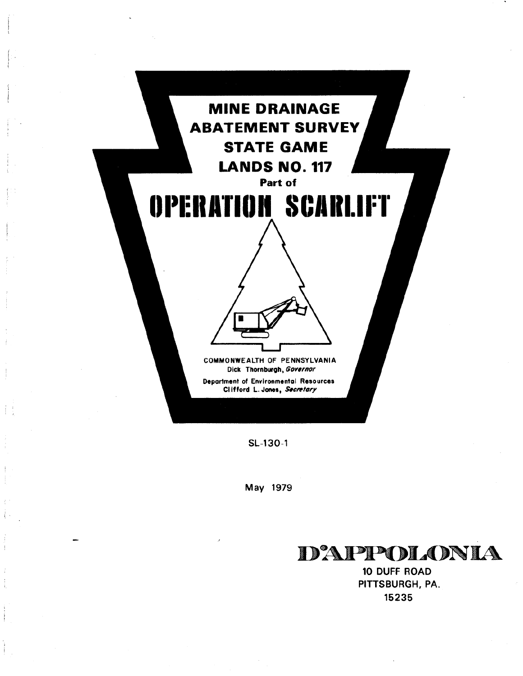

SL-130-1

B

May 1979



10 DUFF ROAD PITTSBURGH, PA. 15235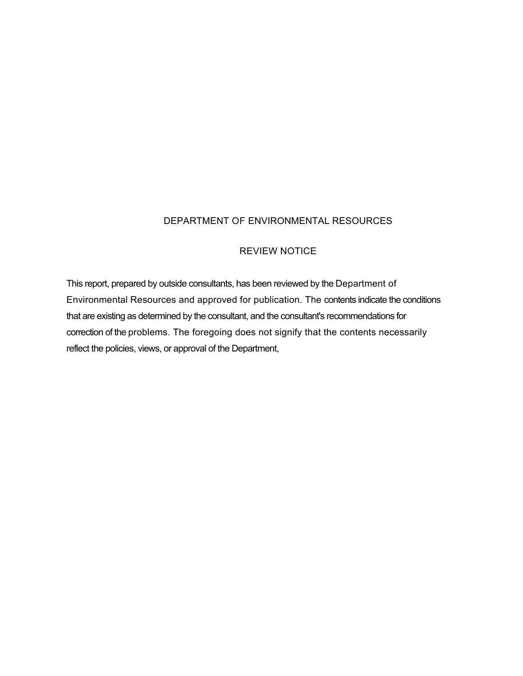### DEPARTMENT OF ENVIRONMENTAL RESOURCES

#### REVIEW NOTICE

This report, prepared by outside consultants, has been reviewed by the Department of Environmental Resources and approved for publication. The contents indicate the conditions that are existing as determined by the consultant, and the consultant's recommendations for correction of the problems. The foregoing does not signify that the contents necessarily reflect the policies, views, or approval of the Department,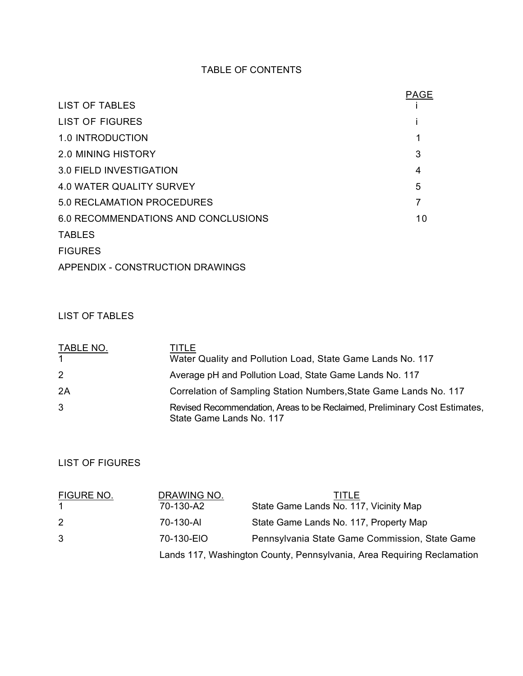## TABLE OF CONTENTS

|                                     | <b>PAGE</b> |
|-------------------------------------|-------------|
| <b>LIST OF TABLES</b>               |             |
| <b>LIST OF FIGURES</b>              |             |
| 1.0 INTRODUCTION                    |             |
| <b>2.0 MINING HISTORY</b>           | 3           |
| 3.0 FIELD INVESTIGATION             | 4           |
| <b>4.0 WATER QUALITY SURVEY</b>     | 5           |
| 5.0 RECLAMATION PROCEDURES          |             |
| 6.0 RECOMMENDATIONS AND CONCLUSIONS | 10          |
| <b>TABLES</b>                       |             |
| <b>FIGURES</b>                      |             |
|                                     |             |

APPENDIX - CONSTRUCTION DRAWINGS

## LIST OF TABLES

| <b>TABLE NO.</b><br>$\overline{1}$ | TITLE<br>Water Quality and Pollution Load, State Game Lands No. 117                                    |
|------------------------------------|--------------------------------------------------------------------------------------------------------|
| 2                                  | Average pH and Pollution Load, State Game Lands No. 117                                                |
| 2A                                 | Correlation of Sampling Station Numbers, State Game Lands No. 117                                      |
| 3                                  | Revised Recommendation, Areas to be Reclaimed, Preliminary Cost Estimates,<br>State Game Lands No. 117 |

# LIST OF FIGURES

| <b>FIGURE NO.</b> | DRAWING NO.                                                            | TITLE                                          |
|-------------------|------------------------------------------------------------------------|------------------------------------------------|
|                   | 70-130-A2                                                              | State Game Lands No. 117, Vicinity Map         |
| 2                 | 70-130-AI                                                              | State Game Lands No. 117, Property Map         |
| 3                 | 70-130-EIO                                                             | Pennsylvania State Game Commission, State Game |
|                   | Lands 117, Washington County, Pennsylvania, Area Requiring Reclamation |                                                |